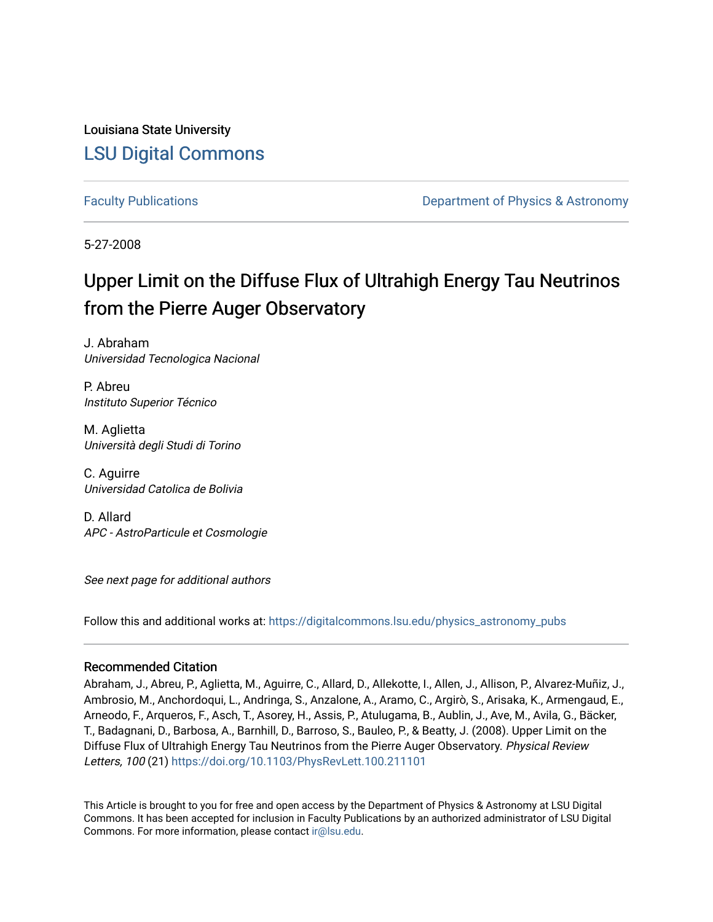Louisiana State University [LSU Digital Commons](https://digitalcommons.lsu.edu/)

[Faculty Publications](https://digitalcommons.lsu.edu/physics_astronomy_pubs) **Example 2** Constant Department of Physics & Astronomy

5-27-2008

## Upper Limit on the Diffuse Flux of Ultrahigh Energy Tau Neutrinos from the Pierre Auger Observatory

J. Abraham Universidad Tecnologica Nacional

P. Abreu Instituto Superior Técnico

M. Aglietta Università degli Studi di Torino

C. Aguirre Universidad Catolica de Bolivia

D. Allard APC - AstroParticule et Cosmologie

See next page for additional authors

Follow this and additional works at: [https://digitalcommons.lsu.edu/physics\\_astronomy\\_pubs](https://digitalcommons.lsu.edu/physics_astronomy_pubs?utm_source=digitalcommons.lsu.edu%2Fphysics_astronomy_pubs%2F3291&utm_medium=PDF&utm_campaign=PDFCoverPages) 

## Recommended Citation

Abraham, J., Abreu, P., Aglietta, M., Aguirre, C., Allard, D., Allekotte, I., Allen, J., Allison, P., Alvarez-Muñiz, J., Ambrosio, M., Anchordoqui, L., Andringa, S., Anzalone, A., Aramo, C., Argirò, S., Arisaka, K., Armengaud, E., Arneodo, F., Arqueros, F., Asch, T., Asorey, H., Assis, P., Atulugama, B., Aublin, J., Ave, M., Avila, G., Bäcker, T., Badagnani, D., Barbosa, A., Barnhill, D., Barroso, S., Bauleo, P., & Beatty, J. (2008). Upper Limit on the Diffuse Flux of Ultrahigh Energy Tau Neutrinos from the Pierre Auger Observatory. Physical Review Letters, 100 (21)<https://doi.org/10.1103/PhysRevLett.100.211101>

This Article is brought to you for free and open access by the Department of Physics & Astronomy at LSU Digital Commons. It has been accepted for inclusion in Faculty Publications by an authorized administrator of LSU Digital Commons. For more information, please contact [ir@lsu.edu](mailto:ir@lsu.edu).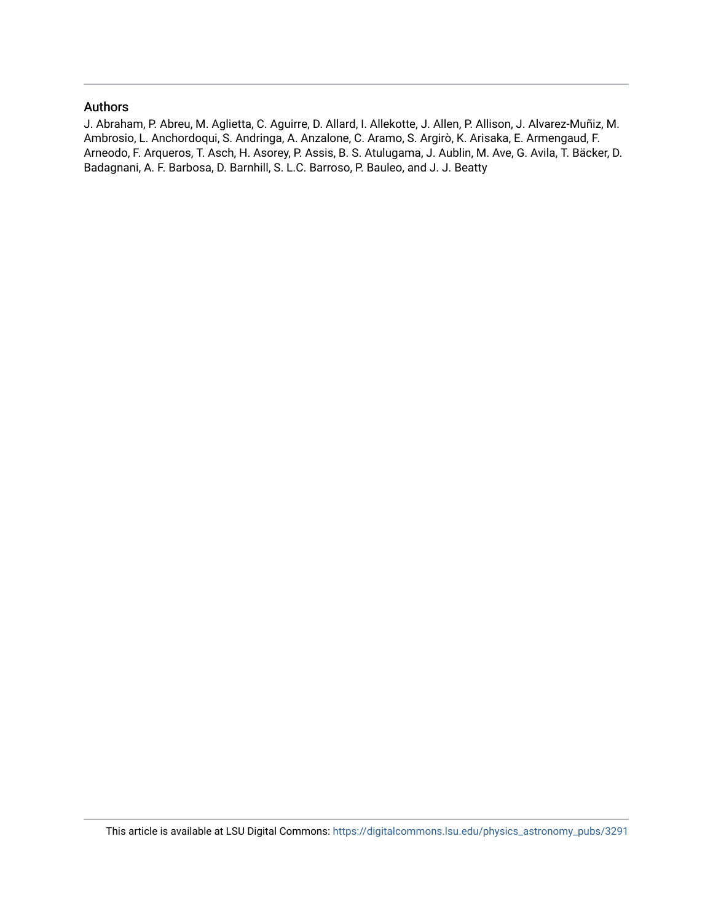## Authors

J. Abraham, P. Abreu, M. Aglietta, C. Aguirre, D. Allard, I. Allekotte, J. Allen, P. Allison, J. Alvarez-Muñiz, M. Ambrosio, L. Anchordoqui, S. Andringa, A. Anzalone, C. Aramo, S. Argirò, K. Arisaka, E. Armengaud, F. Arneodo, F. Arqueros, T. Asch, H. Asorey, P. Assis, B. S. Atulugama, J. Aublin, M. Ave, G. Avila, T. Bäcker, D. Badagnani, A. F. Barbosa, D. Barnhill, S. L.C. Barroso, P. Bauleo, and J. J. Beatty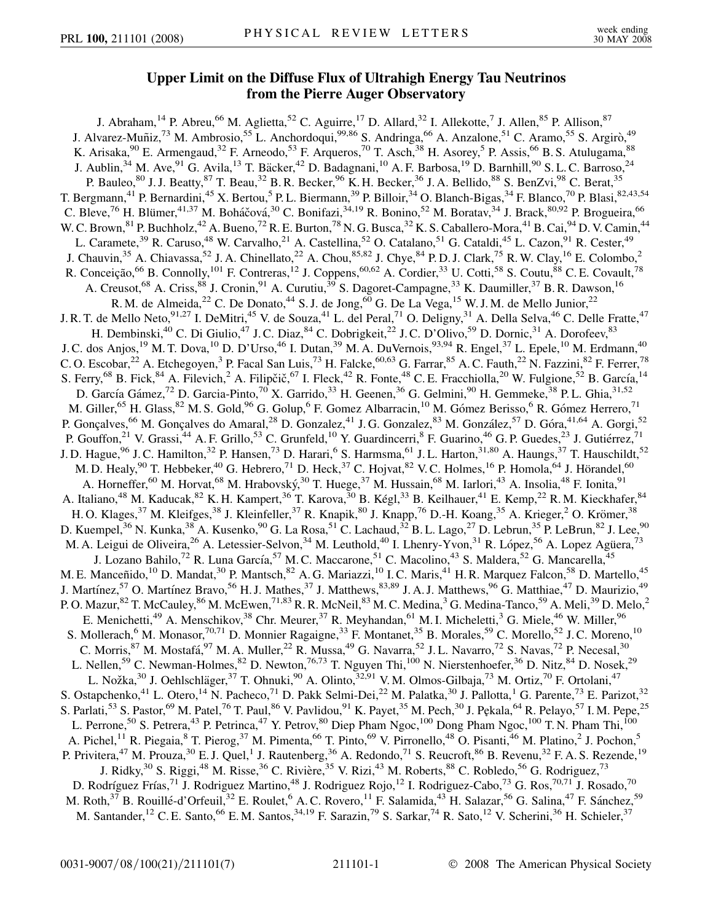## **Upper Limit on the Diffuse Flux of Ultrahigh Energy Tau Neutrinos from the Pierre Auger Observatory**

J. Abraham,<sup>14</sup> P. Abreu,<sup>66</sup> M. Aglietta,<sup>52</sup> C. Aguirre,<sup>17</sup> D. Allard,<sup>32</sup> I. Allekotte,<sup>7</sup> J. Allen,<sup>85</sup> P. Allison,<sup>87</sup> J. Alvarez-Muñiz,<sup>73</sup> M. Ambrosio,<sup>55</sup> L. Anchordoqui,<sup>99,86</sup> S. Andringa,<sup>66</sup> A. Anzalone,<sup>51</sup> C. Aramo,<sup>55</sup> S. Argirò,<sup>49</sup> K. Arisaka, <sup>90</sup> E. Armengaud, <sup>32</sup> F. Arneodo, <sup>53</sup> F. Arqueros, <sup>70</sup> T. Asch, <sup>38</sup> H. Asorey, <sup>5</sup> P. Assis, <sup>66</sup> B. S. Atulugama, <sup>88</sup> J. Aublin,<sup>34</sup> M. Ave,<sup>91</sup> G. Avila,<sup>13</sup> T. Bäcker,<sup>42</sup> D. Badagnani,<sup>10</sup> A. F. Barbosa,<sup>19</sup> D. Barnhill,<sup>90</sup> S. L. C. Barroso,<sup>24</sup> P. Bauleo,  $80$  J. J. Beatty,  $87$  T. Beau,  $32$  B. R. Becker,  $96$  K. H. Becker,  $36$  J. A. Bellido,  $88$  S. BenZvi,  $98$  C. Berat,  $35$ T. Bergmann,<sup>41</sup> P. Bernardini,<sup>45</sup> X. Bertou,<sup>5</sup> P. L. Biermann,<sup>39</sup> P. Billoir,<sup>34</sup> O. Blanch-Bigas,<sup>34</sup> F. Blanco,<sup>70</sup> P. Blasi,<sup>82,43,54</sup> C. Bleve,<sup>76</sup> H. Blümer,<sup>41,37</sup> M. Boháčová,<sup>30</sup> C. Bonifazi,<sup>34,19</sup> R. Bonino,<sup>52</sup> M. Boratav,<sup>34</sup> J. Brack,<sup>80,92</sup> P. Brogueira,<sup>66</sup> W. C. Brown,  $81$  P. Buchholz,  $42$  A. Bueno,  $72$  R. E. Burton,  $78$  N. G. Busca,  $32$  K. S. Caballero-Mora,  $41$  B. Cai,  $94$  D. V. Camin,  $44$ L. Caramete,<sup>39</sup> R. Caruso,<sup>48</sup> W. Carvalho,<sup>21</sup> A. Castellina,<sup>52</sup> O. Catalano,<sup>51</sup> G. Cataldi,<sup>45</sup> L. Cazon,<sup>91</sup> R. Cester,<sup>49</sup> J. Chauvin,<sup>35</sup> A. Chiavassa,<sup>52</sup> J. A. Chinellato,<sup>22</sup> A. Chou,<sup>85,82</sup> J. Chye,<sup>84</sup> P.D. J. Clark,<sup>75</sup> R. W. Clay,<sup>16</sup> E. Colombo,<sup>2</sup> R. Conceição,<sup>66</sup> B. Connolly,<sup>101</sup> F. Contreras,<sup>12</sup> J. Coppens,<sup>60,62</sup> A. Cordier,<sup>33</sup> U. Cotti,<sup>58</sup> S. Coutu,<sup>88</sup> C. E. Covault,<sup>78</sup> A. Creusot,<sup>68</sup> A. Criss,<sup>88</sup> J. Cronin,<sup>91</sup> A. Curutiu,<sup>39</sup> S. Dagoret-Campagne,<sup>33</sup> K. Daumiller,<sup>37</sup> B. R. Dawson,<sup>16</sup> R. M. de Almeida,<sup>22</sup> C. De Donato,<sup>44</sup> S. J. de Jong,<sup>60</sup> G. De La Vega,<sup>15</sup> W. J. M. de Mello Junior,<sup>22</sup> J. R. T. de Mello Neto, <sup>91,27</sup> I. DeMitri, <sup>45</sup> V. de Souza, <sup>41</sup> L. del Peral, <sup>71</sup> O. Deligny, <sup>31</sup> A. Della Selva, <sup>46</sup> C. Delle Fratte, <sup>47</sup> H. Dembinski,<sup>40</sup> C. Di Giulio,<sup>47</sup> J. C. Diaz,<sup>84</sup> C. Dobrigkeit,<sup>22</sup> J. C. D'Olivo,<sup>59</sup> D. Dornic,<sup>31</sup> A. Dorofeev,<sup>83</sup> J. C. dos Anjos,<sup>19</sup> M. T. Dova,<sup>10</sup> D. D'Urso,<sup>46</sup> I. Dutan,<sup>39</sup> M. A. DuVernois,<sup>93,94</sup> R. Engel,<sup>37</sup> L. Epele,<sup>10</sup> M. Erdmann,<sup>40</sup> C. O. Escobar, <sup>22</sup> A. Etchegoyen, <sup>3</sup> P. Facal San Luis, <sup>73</sup> H. Falcke, <sup>60,63</sup> G. Farrar, <sup>85</sup> A. C. Fauth, <sup>22</sup> N. Fazzini, <sup>82</sup> F. Ferrer, <sup>78</sup> S. Ferry,<sup>68</sup> B. Fick,<sup>84</sup> A. Filevich,<sup>2</sup> A. Filipčič,<sup>67</sup> I. Fleck,<sup>42</sup> R. Fonte,<sup>48</sup> C. E. Fracchiolla,<sup>20</sup> W. Fulgione,<sup>52</sup> B. García,<sup>14</sup> D. García Gámez,<sup>72</sup> D. Garcia-Pinto,<sup>70</sup> X. Garrido,<sup>33</sup> H. Geenen,<sup>36</sup> G. Gelmini,<sup>90</sup> H. Gemmeke,<sup>38</sup> P. L. Ghia,<sup>31,52</sup> M. Giller,<sup>65</sup> H. Glass, <sup>82</sup> M. S. Gold, <sup>96</sup> G. Golup, <sup>6</sup> F. Gomez Albarracin, <sup>10</sup> M. Gómez Berisso, <sup>6</sup> R. Gómez Herrero, <sup>71</sup> P. Gonçalves,<sup>66</sup> M. Gonçalves do Amaral,<sup>28</sup> D. Gonzalez,<sup>41</sup> J.G. Gonzalez,<sup>83</sup> M. González,<sup>57</sup> D. Góra,<sup>41,64</sup> A. Gorgi,<sup>52</sup> P. Gouffon,<sup>21</sup> V. Grassi,<sup>44</sup> A. F. Grillo,<sup>53</sup> C. Grunfeld,<sup>10</sup> Y. Guardincerri,<sup>8</sup> F. Guarino,<sup>46</sup> G. P. Guedes,<sup>23</sup> J. Gutiérrez,<sup>71</sup> J. D. Hague,<sup>96</sup> J. C. Hamilton,<sup>32</sup> P. Hansen,<sup>73</sup> D. Harari,<sup>6</sup> S. Harmsma,<sup>61</sup> J. L. Harton,<sup>31,80</sup> A. Haungs,<sup>37</sup> T. Hauschildt,<sup>52</sup> M. D. Healy,<sup>90</sup> T. Hebbeker,<sup>40</sup> G. Hebrero,<sup>71</sup> D. Heck,<sup>37</sup> C. Hojvat,<sup>82</sup> V. C. Holmes,<sup>16</sup> P. Homola,<sup>64</sup> J. Hörandel,<sup>60</sup> A. Horneffer,<sup>60</sup> M. Horvat,<sup>68</sup> M. Hrabovský,<sup>30</sup> T. Huege,<sup>37</sup> M. Hussain,<sup>68</sup> M. Iarlori,<sup>43</sup> A. Insolia,<sup>48</sup> F. Ionita,<sup>91</sup> A. Italiano,<sup>48</sup> M. Kaducak,<sup>82</sup> K. H. Kampert,<sup>36</sup> T. Karova,<sup>30</sup> B. Kégl,<sup>33</sup> B. Keilhauer,<sup>41</sup> E. Kemp,<sup>22</sup> R. M. Kieckhafer,<sup>84</sup> H. O. Klages,<sup>37</sup> M. Kleifges,<sup>38</sup> J. Kleinfeller,<sup>37</sup> R. Knapik,<sup>80</sup> J. Knapp,<sup>76</sup> D.-H. Koang,<sup>35</sup> A. Krieger,<sup>2</sup> O. Krömer,<sup>38</sup> D. Kuempel,<sup>36</sup> N. Kunka,<sup>38</sup> A. Kusenko,<sup>90</sup> G. La Rosa,<sup>51</sup> C. Lachaud,<sup>32</sup> B. L. Lago,<sup>27</sup> D. Lebrun,<sup>35</sup> P. LeBrun,<sup>82</sup> J. Lee,<sup>90</sup> M. A. Leigui de Oliveira,<sup>26</sup> A. Letessier-Selvon,<sup>34</sup> M. Leuthold,<sup>40</sup> I. Lhenry-Yvon,<sup>31</sup> R. López,<sup>56</sup> A. Lopez Agüera,<sup>73</sup> J. Lozano Bahilo,<sup>72</sup> R. Luna García,<sup>57</sup> M. C. Maccarone,<sup>51</sup> C. Macolino,<sup>43</sup> S. Maldera,<sup>52</sup> G. Mancarella,<sup>45</sup> M. E. Manceñido,<sup>10</sup> D. Mandat,<sup>30</sup> P. Mantsch,<sup>82</sup> A. G. Mariazzi,<sup>10</sup> I. C. Maris,<sup>41</sup> H. R. Marquez Falcon,<sup>58</sup> D. Martello,<sup>45</sup> J. Martínez,<sup>57</sup> O. Martínez Bravo,<sup>56</sup> H. J. Mathes,<sup>37</sup> J. Matthews,<sup>83,89</sup> J. A. J. Matthews,<sup>96</sup> G. Matthiae,<sup>47</sup> D. Maurizio,<sup>49</sup> P. O. Mazur, $^{82}$  T. McCauley, $^{86}$  M. McEwen, $^{71,83}$  R. R. McNeil, $^{83}$  M. C. Medina, $^3$  G. Medina-Tanco, $^{59}$  A. Meli, $^{39}$  D. Melo, $^2$ E. Menichetti,<sup>49</sup> A. Menschikov,<sup>38</sup> Chr. Meurer,<sup>37</sup> R. Meyhandan,<sup>61</sup> M. I. Micheletti,<sup>3</sup> G. Miele,<sup>46</sup> W. Miller,<sup>96</sup> S. Mollerach,<sup>6</sup> M. Monasor,<sup>70,71</sup> D. Monnier Ragaigne,<sup>33</sup> F. Montanet,<sup>35</sup> B. Morales,<sup>59</sup> C. Morello,<sup>52</sup> J.C. Moreno,<sup>10</sup> C. Morris, <sup>87</sup> M. Mostafá, <sup>97</sup> M. A. Muller, <sup>22</sup> R. Mussa, <sup>49</sup> G. Navarra, <sup>52</sup> J. L. Navarro, <sup>72</sup> S. Navas, <sup>72</sup> P. Necesal, <sup>30</sup> L. Nellen,<sup>59</sup> C. Newman-Holmes, <sup>82</sup> D. Newton, <sup>76,73</sup> T. Nguyen Thi, <sup>100</sup> N. Nierstenhoefer, <sup>36</sup> D. Nitz, <sup>84</sup> D. Nosek, <sup>29</sup> L. Nožka,<sup>30</sup> J. Oehlschläger,<sup>37</sup> T. Ohnuki,<sup>90</sup> A. Olinto,<sup>32,91</sup> V. M. Olmos-Gilbaja,<sup>73</sup> M. Ortiz,<sup>70</sup> F. Ortolani,<sup>47</sup> S. Ostapchenko,<sup>41</sup> L. Otero,<sup>14</sup> N. Pacheco,<sup>71</sup> D. Pakk Selmi-Dei,<sup>22</sup> M. Palatka,<sup>30</sup> J. Pallotta,<sup>1</sup> G. Parente,<sup>73</sup> E. Parizot,<sup>32</sup> S. Parlati, <sup>53</sup> S. Pastor, <sup>69</sup> M. Patel, <sup>76</sup> T. Paul, <sup>86</sup> V. Pavlidou, <sup>91</sup> K. Payet, <sup>35</sup> M. Pech, <sup>30</sup> J. Pękala, <sup>64</sup> R. Pelayo, <sup>57</sup> I. M. Pepe, <sup>25</sup> L. Perrone,<sup>50</sup> S. Petrera,<sup>43</sup> P. Petrinca,<sup>47</sup> Y. Petrov,<sup>80</sup> Diep Pham Ngoc,<sup>100</sup> Dong Pham Ngoc,<sup>100</sup> T. N. Pham Thi,<sup>100</sup> A. Pichel,<sup>11</sup> R. Piegaia,<sup>8</sup> T. Pierog,<sup>37</sup> M. Pimenta,<sup>66</sup> T. Pinto,<sup>69</sup> V. Pirronello,<sup>48</sup> O. Pisanti,<sup>46</sup> M. Platino,<sup>2</sup> J. Pochon,<sup>5</sup> P. Privitera,<sup>47</sup> M. Prouza,<sup>30</sup> E. J. Quel,<sup>1</sup> J. Rautenberg,<sup>36</sup> A. Redondo,<sup>71</sup> S. Reucroft,<sup>86</sup> B. Revenu,<sup>32</sup> F. A. S. Rezende,<sup>19</sup> J. Ridky,<sup>30</sup> S. Riggi,<sup>48</sup> M. Risse,<sup>36</sup> C. Rivière,<sup>35</sup> V. Rizi,<sup>43</sup> M. Roberts,<sup>88</sup> C. Robledo,<sup>56</sup> G. Rodriguez,<sup>73</sup> D. Rodríguez Frías,<sup>71</sup> J. Rodriguez Martino,<sup>48</sup> J. Rodriguez Rojo,<sup>12</sup> I. Rodriguez-Cabo,<sup>73</sup> G. Ros,<sup>70,71</sup> J. Rosado,<sup>70</sup> M. Roth,<sup>37</sup> B. Rouillé-d'Orfeuil,<sup>32</sup> E. Roulet,<sup>6</sup> A. C. Rovero,<sup>11</sup> F. Salamida,<sup>43</sup> H. Salazar,<sup>56</sup> G. Salina,<sup>47</sup> F. Sánchez,<sup>59</sup> M. Santander,<sup>12</sup> C. E. Santo,<sup>66</sup> E. M. Santos,<sup>34,19</sup> F. Sarazin,<sup>79</sup> S. Sarkar,<sup>74</sup> R. Sato,<sup>12</sup> V. Scherini,<sup>36</sup> H. Schieler,<sup>37</sup>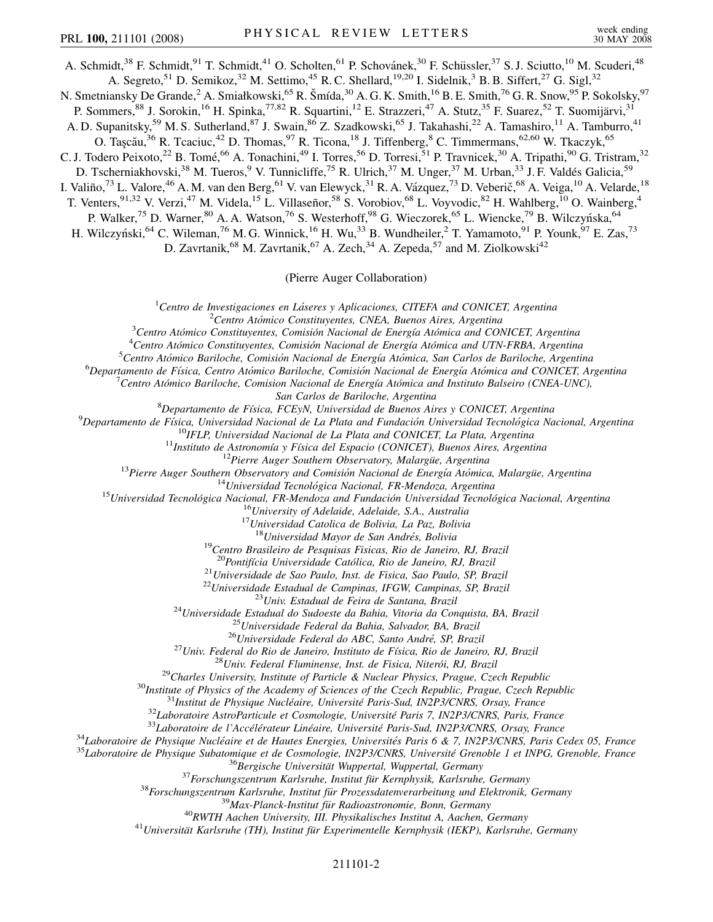A. Schmidt,<sup>38</sup> F. Schmidt,<sup>91</sup> T. Schmidt,<sup>41</sup> O. Scholten,<sup>61</sup> P. Schovánek,<sup>30</sup> F. Schüssler,<sup>37</sup> S. J. Sciutto,<sup>10</sup> M. Scuderi,<sup>48</sup> A. Segreto,<sup>51</sup> D. Semikoz,<sup>32</sup> M. Settimo,<sup>45</sup> R. C. Shellard,<sup>19,20</sup> I. Sidelnik,<sup>3</sup> B. B. Siffert,<sup>27</sup> G. Sigl,<sup>32</sup>

N. Smetniansky De Grande,<sup>2</sup> A. Smiałkowski,<sup>65</sup> R. Šmída,<sup>30</sup> A. G. K. Smith,<sup>16</sup> B. E. Smith,<sup>76</sup> G. R. Snow,<sup>95</sup> P. Sokolsky,<sup>97</sup>

P. Sommers,<sup>88</sup> J. Sorokin,<sup>16</sup> H. Spinka,<sup>77,82</sup> R. Squartini,<sup>12</sup> E. Strazzeri,<sup>47</sup> A. Stutz,<sup>35</sup> F. Suarez,<sup>52</sup> T. Suomijärvi,<sup>31</sup>

A. D. Supanitsky,<sup>59</sup> M. S. Sutherland,<sup>87</sup> J. Swain,<sup>86</sup> Z. Szadkowski,<sup>65</sup> J. Takahashi,<sup>22</sup> A. Tamashiro,<sup>11</sup> A. Tamburro,<sup>41</sup>

O. Taşcău,<sup>36</sup> R. Tcaciuc,<sup>42</sup> D. Thomas,<sup>97</sup> R. Ticona,<sup>18</sup> J. Tiffenberg,<sup>8</sup> C. Timmermans,<sup>62,60</sup> W. Tkaczyk,<sup>65</sup>

C. J. Todero Peixoto,<sup>22</sup> B. Tomé,<sup>66</sup> A. Tonachini,<sup>49</sup> I. Torres,<sup>56</sup> D. Torresi,<sup>51</sup> P. Travnicek,<sup>30</sup> A. Tripathi,<sup>90</sup> G. Tristram,<sup>32</sup>

D. Tscherniakhovski,<sup>38</sup> M. Tueros,<sup>9</sup> V. Tunnicliffe,<sup>75</sup> R. Ulrich,<sup>37</sup> M. Unger,<sup>37</sup> M. Urban,<sup>33</sup> J. F. Valdés Galicia,<sup>59</sup>

I. Valiño,<sup>73</sup> L. Valore,<sup>46</sup> A.M. van den Berg,<sup>61</sup> V. van Elewyck,<sup>31</sup> R.A. Vázquez,<sup>73</sup> D. Veberič,<sup>68</sup> A. Veiga,<sup>10</sup> A. Velarde,<sup>18</sup>

T. Venters,  $91,32$  V. Verzi,  $47$  M. Videla,  $15$  L. Villaseñor,  $58$  S. Vorobiov,  $68$  L. Voyvodic,  $82$  H. Wahlberg,  $10$  O. Wainberg,  $4$ 

P. Walker,<sup>75</sup> D. Warner,<sup>80</sup> A. A. Watson,<sup>76</sup> S. Westerhoff,<sup>98</sup> G. Wieczorek,<sup>65</sup> L. Wiencke,<sup>79</sup> B. Wilczyńska,<sup>64</sup>

H. Wilczyński,<sup>64</sup> C. Wileman,<sup>76</sup> M. G. Winnick,<sup>16</sup> H. Wu,<sup>33</sup> B. Wundheiler,<sup>2</sup> T. Yamamoto,<sup>91</sup> P. Younk,<sup>97</sup> E. Zas,<sup>73</sup>

D. Zavrtanik,  $^{68}$  M. Zavrtanik,  $^{67}$  A. Zech,  $^{34}$  A. Zepeda,  $^{57}$  and M. Ziolkowski<sup>42</sup>

(Pierre Auger Collaboration)

<sup>1</sup> Centro de Investigaciones en Láseres y Aplicaciones, CITEFA and CONICET, Argentina

<sup>2</sup> Centro Atómico Constituyentes, CNEA, Buenos Aires, Argentina

<sup>3</sup> Centro Atómico Constituyentes, Comisión Nacional de Energía Atómica and CONICET, Argentina

<sup>4</sup> Centro Atómico Constituyentes, Comisión Nacional de Energía Atómica and UTN-FRBA, Argentina

<sup>5</sup> Centro Atómico Bariloche, Comisión Nacional de Energía Atómica, San Carlos de Bariloche, Argentina

<sup>6</sup>Departamento de Física, Centro Atómico Bariloche, Comisión Nacional de Energía Atómica and CONICET, Argentina

<sup>7</sup> Centro Atómico Bariloche, Comision Nacional de Energía Atómica and Instituto Balseiro (CNEA-UNC),

*San Carlos de Bariloche, Argentina* <sup>8</sup> *Departamento de Fı´sica, FCEyN, Universidad de Buenos Aires y CONICET, Argentina* <sup>9</sup>

 $\begin{array}{c} \n ^{9} \textbf{Department} \textit{de Física, Universidad Nacional de La Plata and Fundación Universidad Tecnológica Nacional, Argentina} \\ \n ^{10} \textbf{IFLP, Universidad Nacional de La Plata and CONICET, La Plata, Argentina} \\ \n ^{11} \textbf{Instituto de Astronomía y Física del Espacio (CONICET), Buenos Aires, Argentina} \\ \n ^{12} \textbf{Pierre Auger Southern Observatory, Malargüie, Argentina} \\ \n ^{13} \textbf{Pierre Auger Southern Observatory and Comisión Nacional de Energía Atómica, Malargüie, Argentina} \\ \n ^{14} \textbf{Universal Technical Tecnológica Nacional, FR-Mendoza, Argentina} \\ \n ^{15} \textbf{Universal de Cenológ$ 

<sup>19</sup>Centro Brasileiro de Pesquisas Fisicas, Rio de Janeiro, RJ, Brazil<br><sup>20</sup>Pontifícia Universidade Católica, Rio de Janeiro, RJ, Brazil

<sup>20</sup>Pontifícia Universidade Católica, Rio de Janeiro, RJ. Brazil<br>
<sup>21</sup>Universidade de Sao Paulo, Inst. de Fisica, Sao Paulo, SP. Brazil<br>
<sup>21</sup>Universidade Estadual de Campinas, IFGW, Campinas, SP. Brazil<br>
<sup>22</sup>Universidade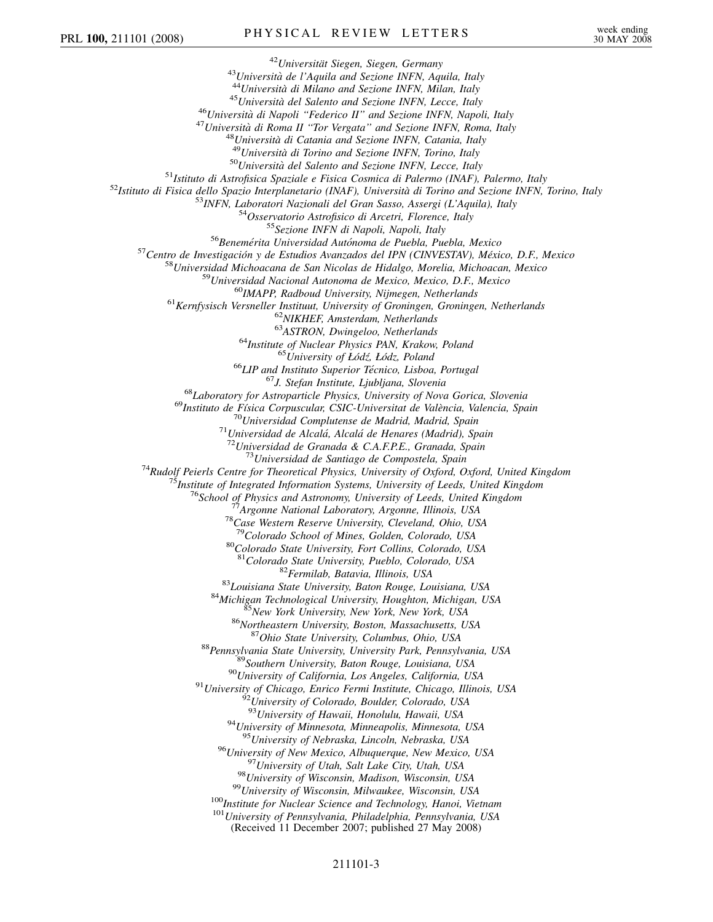<sup>42</sup>Università de l'Aquila and Sectione INFN, Aquila, Italy<br>
<sup>42</sup>Università de l'Aquila and Sectione INFN, Maulia, Italy<br>
<sup>42</sup>Università del Salerno and Sectione INFN, Hiron, Italy<br>
47 Università del Salerno and Sectione <sup>78</sup>Case Western Reserve University, Cleveland, Ohio, USA<br><sup>79</sup>Colorado School of Mines, Golden, Colorado, USA<br><sup>80</sup>Colorado State University, Fort Collins, Colorado, USA<br><sup>81</sup>Colorado State University, Pueblo, Colorado, USA <sup>82</sup> Fermilab, Batavia, Illinois, USA<br>
<sup>83</sup> Louisiana State University, Baton Rouge, Louisiana, USA<br>
<sup>84</sup> Michigan Technological University, Houghton, Michigan, USA<br>
<sup>85</sup> New York University, New York, New York, USA<br>
<sup>86</sup> <sup>94</sup>University of Minnesota, Minneapolis, Minnesota, USA<br><sup>95</sup>University of Nebraska, Lincoln, Nebraska, USA <sup>96</sup>University of New Mexico, Albuquerque, New Mexico, USA<br><sup>97</sup>University of Utah, Salt Lake City, Utah, USA<br><sup>98</sup>University of Wisconsin, Madison, Wisconsin, USA<br><sup>99</sup>University of Wisconsin, Milwaukee, Wisconsin, USA<br><sup>100</sup> (Received 11 December 2007; published 27 May 2008)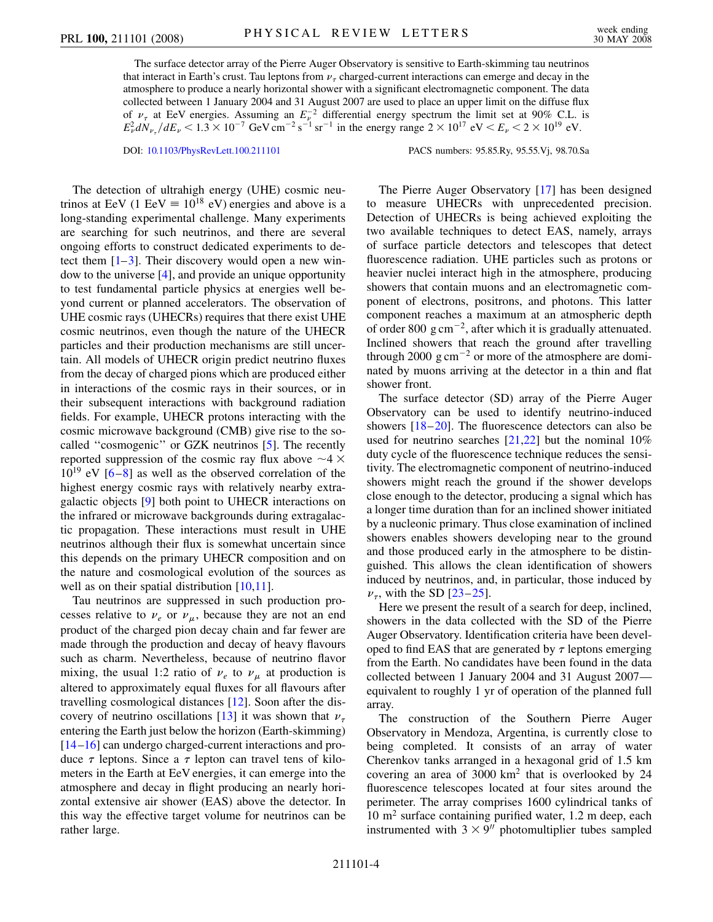The surface detector array of the Pierre Auger Observatory is sensitive to Earth-skimming tau neutrinos that interact in Earth's crust. Tau leptons from  $\nu_{\tau}$  charged-current interactions can emerge and decay in the atmosphere to produce a nearly horizontal shower with a significant electromagnetic component. The data collected between 1 January 2004 and 31 August 2007 are used to place an upper limit on the diffuse flux of  $\nu_{\tau}$  at EeV energies. Assuming an  $E_{\nu}^{-2}$  differential energy spectrum the limit set at 90% C.L. is  $E_{\nu}^2 dN_{\nu_{\tau}}/dE_{\nu} < 1.3 \times 10^{-7} \text{ GeV cm}^{-2} \text{ s}^{-1} \text{ sr}^{-1}$  in the energy range  $2 \times 10^{17} \text{ eV} < E_{\nu} < 2 \times 10^{19} \text{ eV}$ .

DOI: [10.1103/PhysRevLett.100.211101](http://dx.doi.org/10.1103/PhysRevLett.100.211101) PACS numbers: 95.85.Ry, 95.55.Vj, 98.70.Sa

The detection of ultrahigh energy (UHE) cosmic neutrinos at EeV (1 EeV  $\equiv 10^{18}$  eV) energies and above is a long-standing experimental challenge. Many experiments are searching for such neutrinos, and there are several ongoing efforts to construct dedicated experiments to detect them  $[1-3]$  $[1-3]$  $[1-3]$ . Their discovery would open a new window to the universe [\[4](#page-8-2)], and provide an unique opportunity to test fundamental particle physics at energies well beyond current or planned accelerators. The observation of UHE cosmic rays (UHECRs) requires that there exist UHE cosmic neutrinos, even though the nature of the UHECR particles and their production mechanisms are still uncertain. All models of UHECR origin predict neutrino fluxes from the decay of charged pions which are produced either in interactions of the cosmic rays in their sources, or in their subsequent interactions with background radiation fields. For example, UHECR protons interacting with the cosmic microwave background (CMB) give rise to the socalled ''cosmogenic'' or GZK neutrinos [[5](#page-8-3)]. The recently reported suppression of the cosmic ray flux above  $\sim$  4  $\times$  $10^{19}$  eV  $[6-8]$  $[6-8]$  $[6-8]$  as well as the observed correlation of the highest energy cosmic rays with relatively nearby extragalactic objects [[9\]](#page-8-6) both point to UHECR interactions on the infrared or microwave backgrounds during extragalactic propagation. These interactions must result in UHE neutrinos although their flux is somewhat uncertain since this depends on the primary UHECR composition and on the nature and cosmological evolution of the sources as well as on their spatial distribution  $[10,11]$  $[10,11]$  $[10,11]$  $[10,11]$  $[10,11]$ .

Tau neutrinos are suppressed in such production processes relative to  $\nu_e$  or  $\nu_\mu$ , because they are not an end product of the charged pion decay chain and far fewer are made through the production and decay of heavy flavours such as charm. Nevertheless, because of neutrino flavor mixing, the usual 1:2 ratio of  $\nu_e$  to  $\nu_\mu$  at production is altered to approximately equal fluxes for all flavours after travelling cosmological distances [\[12](#page-8-9)]. Soon after the dis-covery of neutrino oscillations [[13](#page-8-10)] it was shown that  $\nu_{\tau}$ entering the Earth just below the horizon (Earth-skimming) [\[14](#page-8-11)[–16\]](#page-8-12) can undergo charged-current interactions and produce  $\tau$  leptons. Since a  $\tau$  lepton can travel tens of kilometers in the Earth at EeV energies, it can emerge into the atmosphere and decay in flight producing an nearly horizontal extensive air shower (EAS) above the detector. In this way the effective target volume for neutrinos can be rather large.

The Pierre Auger Observatory [\[17\]](#page-8-13) has been designed to measure UHECRs with unprecedented precision. Detection of UHECRs is being achieved exploiting the two available techniques to detect EAS, namely, arrays of surface particle detectors and telescopes that detect fluorescence radiation. UHE particles such as protons or heavier nuclei interact high in the atmosphere, producing showers that contain muons and an electromagnetic component of electrons, positrons, and photons. This latter component reaches a maximum at an atmospheric depth of order 800 g cm $^{-2}$ , after which it is gradually attenuated. Inclined showers that reach the ground after travelling through 2000  $\text{g cm}^{-2}$  or more of the atmosphere are dominated by muons arriving at the detector in a thin and flat shower front.

The surface detector (SD) array of the Pierre Auger Observatory can be used to identify neutrino-induced showers [\[18](#page-8-14)–[20\]](#page-8-15). The fluorescence detectors can also be used for neutrino searches  $[21,22]$  $[21,22]$  $[21,22]$  $[21,22]$  $[21,22]$  but the nominal 10% duty cycle of the fluorescence technique reduces the sensitivity. The electromagnetic component of neutrino-induced showers might reach the ground if the shower develops close enough to the detector, producing a signal which has a longer time duration than for an inclined shower initiated by a nucleonic primary. Thus close examination of inclined showers enables showers developing near to the ground and those produced early in the atmosphere to be distinguished. This allows the clean identification of showers induced by neutrinos, and, in particular, those induced by  $\nu_{\tau}$ , with the SD [\[23](#page-8-18)–[25](#page-8-19)].

Here we present the result of a search for deep, inclined, showers in the data collected with the SD of the Pierre Auger Observatory. Identification criteria have been developed to find EAS that are generated by  $\tau$  leptons emerging from the Earth. No candidates have been found in the data collected between 1 January 2004 and 31 August 2007 equivalent to roughly 1 yr of operation of the planned full array.

The construction of the Southern Pierre Auger Observatory in Mendoza, Argentina, is currently close to being completed. It consists of an array of water Cherenkov tanks arranged in a hexagonal grid of 1.5 km covering an area of  $3000 \text{ km}^2$  that is overlooked by 24 fluorescence telescopes located at four sites around the perimeter. The array comprises 1600 cylindrical tanks of  $10 \text{ m}^2$  surface containing purified water, 1.2 m deep, each instrumented with  $3 \times 9$ <sup>n</sup> photomultiplier tubes sampled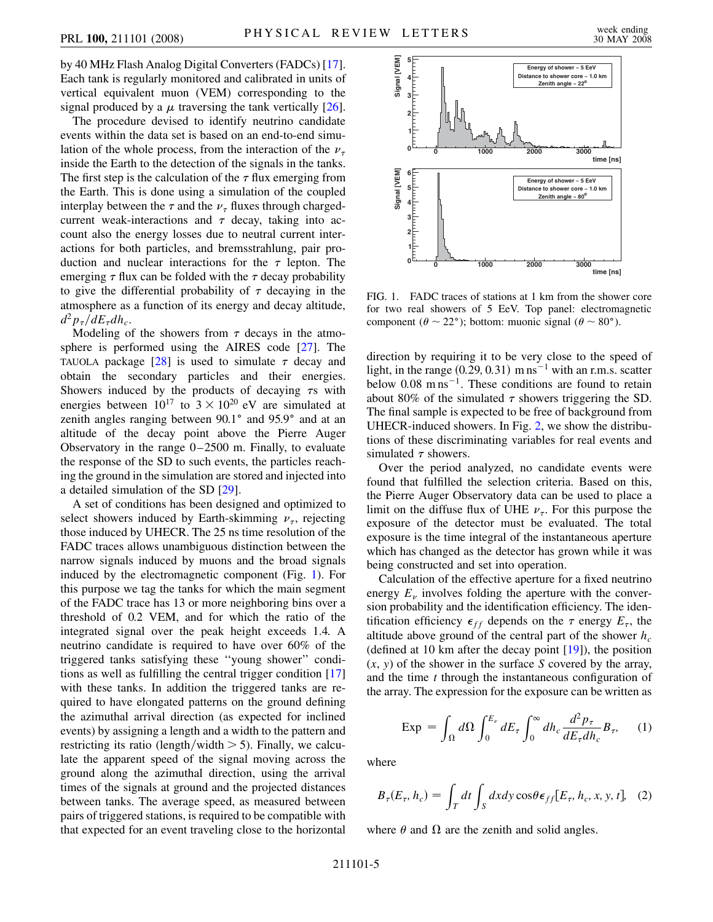by 40 MHz Flash Analog Digital Converters (FADCs) [[17\]](#page-8-13). Each tank is regularly monitored and calibrated in units of vertical equivalent muon (VEM) corresponding to the signal produced by a  $\mu$  traversing the tank vertically [[26\]](#page-8-20).

The procedure devised to identify neutrino candidate events within the data set is based on an end-to-end simulation of the whole process, from the interaction of the  $\nu_{\tau}$ inside the Earth to the detection of the signals in the tanks. The first step is the calculation of the  $\tau$  flux emerging from the Earth. This is done using a simulation of the coupled interplay between the  $\tau$  and the  $\nu_{\tau}$  fluxes through chargedcurrent weak-interactions and  $\tau$  decay, taking into account also the energy losses due to neutral current interactions for both particles, and bremsstrahlung, pair production and nuclear interactions for the  $\tau$  lepton. The emerging  $\tau$  flux can be folded with the  $\tau$  decay probability to give the differential probability of  $\tau$  decaying in the atmosphere as a function of its energy and decay altitude,  $d^2p_\tau/dE_\tau dh_c$ .

Modeling of the showers from  $\tau$  decays in the atmosphere is performed using the AIRES code [\[27\]](#page-8-21). The TAUOLA package  $\lceil 28 \rceil$  is used to simulate  $\tau$  decay and obtain the secondary particles and their energies. Showers induced by the products of decaying  $\tau s$  with energies between  $10^{17}$  to  $3 \times 10^{20}$  eV are simulated at zenith angles ranging between  $90.1^\circ$  and  $95.9^\circ$  and at an altitude of the decay point above the Pierre Auger Observatory in the range 0–2500 m. Finally, to evaluate the response of the SD to such events, the particles reaching the ground in the simulation are stored and injected into a detailed simulation of the SD [[29](#page-8-23)].

A set of conditions has been designed and optimized to select showers induced by Earth-skimming  $\nu_{\tau}$ , rejecting those induced by UHECR. The 25 ns time resolution of the FADC traces allows unambiguous distinction between the narrow signals induced by muons and the broad signals induced by the electromagnetic component (Fig. [1](#page-6-0)). For this purpose we tag the tanks for which the main segment of the FADC trace has 13 or more neighboring bins over a threshold of 0.2 VEM, and for which the ratio of the integrated signal over the peak height exceeds 1.4. A neutrino candidate is required to have over 60% of the triggered tanks satisfying these ''young shower'' conditions as well as fulfilling the central trigger condition [\[17\]](#page-8-13) with these tanks. In addition the triggered tanks are required to have elongated patterns on the ground defining the azimuthal arrival direction (as expected for inclined events) by assigning a length and a width to the pattern and restricting its ratio (length/width  $>$  5). Finally, we calculate the apparent speed of the signal moving across the ground along the azimuthal direction, using the arrival times of the signals at ground and the projected distances between tanks. The average speed, as measured between pairs of triggered stations, is required to be compatible with that expected for an event traveling close to the horizontal

<span id="page-6-0"></span>

FIG. 1. FADC traces of stations at 1 km from the shower core for two real showers of 5 EeV. Top panel: electromagnetic component ( $\theta \sim 22^{\circ}$ ); bottom: muonic signal ( $\theta \sim 80^{\circ}$ ).

direction by requiring it to be very close to the speed of light, in the range  $(0.29, 0.31)$  m ns<sup> $-1$ </sup> with an r.m.s. scatter below  $0.08 \text{ m} \text{ ns}^{-1}$ . These conditions are found to retain about 80% of the simulated  $\tau$  showers triggering the SD. The final sample is expected to be free of background from UHECR-induced showers. In Fig. [2,](#page-7-0) we show the distributions of these discriminating variables for real events and simulated  $\tau$  showers.

Over the period analyzed, no candidate events were found that fulfilled the selection criteria. Based on this, the Pierre Auger Observatory data can be used to place a limit on the diffuse flux of UHE  $\nu_{\tau}$ . For this purpose the exposure of the detector must be evaluated. The total exposure is the time integral of the instantaneous aperture which has changed as the detector has grown while it was being constructed and set into operation.

Calculation of the effective aperture for a fixed neutrino energy  $E_{\nu}$  involves folding the aperture with the conversion probability and the identification efficiency. The identification efficiency  $\epsilon_{ff}$  depends on the  $\tau$  energy  $E_{\tau}$ , the altitude above ground of the central part of the shower  $h_c$ (defined at 10 km after the decay point [\[19\]](#page-8-24)), the position (*x*, *y*) of the shower in the surface *S* covered by the array, and the time *t* through the instantaneous configuration of the array. The expression for the exposure can be written as

<span id="page-6-2"></span>
$$
Exp = \int_{\Omega} d\Omega \int_0^{E_{\nu}} dE_{\tau} \int_0^{\infty} dh_c \frac{d^2 p_{\tau}}{dE_{\tau} dh_c} B_{\tau}, \quad (1)
$$

<span id="page-6-1"></span>where

$$
B_{\tau}(E_{\tau}, h_c) = \int_{T} dt \int_{S} dx dy \cos \theta \epsilon_{ff} [E_{\tau}, h_c, x, y, t], \quad (2)
$$

where  $\theta$  and  $\Omega$  are the zenith and solid angles.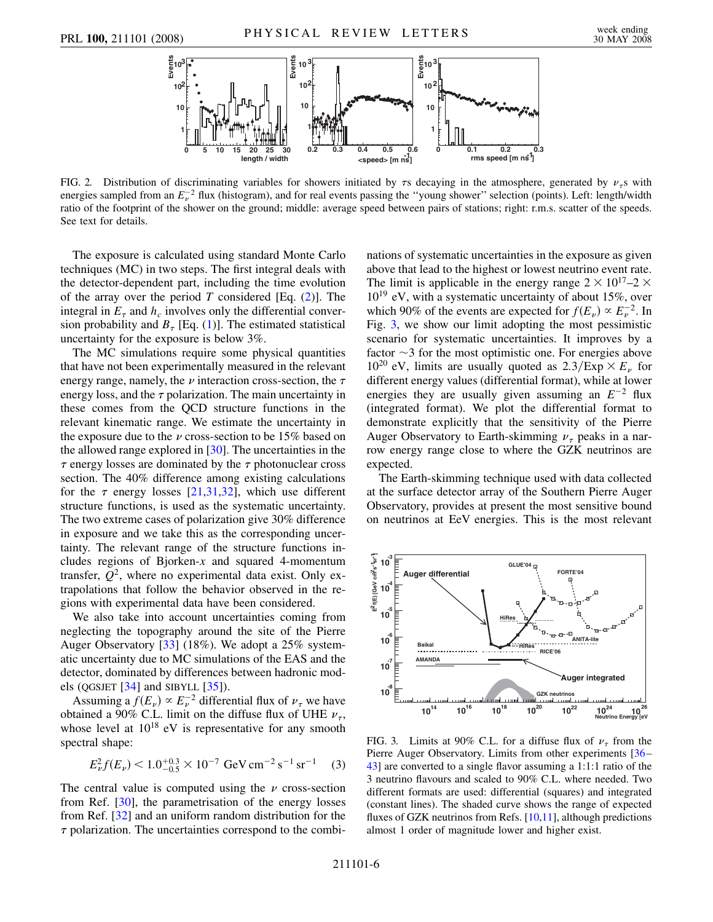<span id="page-7-0"></span>

FIG. 2. Distribution of discriminating variables for showers initiated by  $\tau s$  decaying in the atmosphere, generated by  $\nu_{\tau} s$  with energies sampled from an  $E_v^{-2}$  flux (histogram), and for real events passing the "young shower" selection (points). Left: length/width ratio of the footprint of the shower on the ground; middle: average speed between pairs of stations; right: r.m.s. scatter of the speeds. See text for details.

The exposure is calculated using standard Monte Carlo techniques (MC) in two steps. The first integral deals with the detector-dependent part, including the time evolution of the array over the period *T* considered [Eq. ([2](#page-6-1))]. The integral in  $E_{\tau}$  and  $h_c$  involves only the differential conversion probability and  $B<sub>\tau</sub>$  [Eq. [\(1](#page-6-2))]. The estimated statistical uncertainty for the exposure is below 3%.

The MC simulations require some physical quantities that have not been experimentally measured in the relevant energy range, namely, the  $\nu$  interaction cross-section, the  $\tau$ energy loss, and the  $\tau$  polarization. The main uncertainty in these comes from the QCD structure functions in the relevant kinematic range. We estimate the uncertainty in the exposure due to the  $\nu$  cross-section to be 15% based on the allowed range explored in [[30\]](#page-8-25). The uncertainties in the  $\tau$  energy losses are dominated by the  $\tau$  photonuclear cross section. The 40% difference among existing calculations for the  $\tau$  energy losses [\[21,](#page-8-16)[31,](#page-8-26)[32\]](#page-8-27), which use different structure functions, is used as the systematic uncertainty. The two extreme cases of polarization give 30% difference in exposure and we take this as the corresponding uncertainty. The relevant range of the structure functions includes regions of Bjorken-*x* and squared 4-momentum transfer,  $Q^2$ , where no experimental data exist. Only extrapolations that follow the behavior observed in the regions with experimental data have been considered.

We also take into account uncertainties coming from neglecting the topography around the site of the Pierre Auger Observatory [[33](#page-8-28)] (18%). We adopt a 25% systematic uncertainty due to MC simulations of the EAS and the detector, dominated by differences between hadronic models (QGSJET [[34](#page-8-29)] and SIBYLL [[35](#page-8-30)]).

Assuming a  $f(E_v) \propto E_v^{-2}$  differential flux of  $\nu_\tau$  we have obtained a 90% C.L. limit on the diffuse flux of UHE  $\nu_{\tau}$ , whose level at  $10^{18}$  eV is representative for any smooth spectral shape:

$$
E_{\nu}^2 f(E_{\nu}) < 1.0^{+0.3}_{-0.5} \times 10^{-7} \, \text{GeV} \, \text{cm}^{-2} \, \text{s}^{-1} \, \text{sr}^{-1} \tag{3}
$$

The central value is computed using the  $\nu$  cross-section from Ref. [\[30](#page-8-25)], the parametrisation of the energy losses from Ref. [\[32\]](#page-8-27) and an uniform random distribution for the  $\tau$  polarization. The uncertainties correspond to the combinations of systematic uncertainties in the exposure as given above that lead to the highest or lowest neutrino event rate. The limit is applicable in the energy range  $2 \times 10^{17} - 2 \times$  $10^{19}$  eV, with a systematic uncertainty of about 15%, over which 90% of the events are expected for  $f(E_v) \propto E_v^{-2}$ . In Fig. [3,](#page-7-1) we show our limit adopting the most pessimistic scenario for systematic uncertainties. It improves by a factor  $\sim$ 3 for the most optimistic one. For energies above 10<sup>20</sup> eV, limits are usually quoted as  $2.3$ /Exp  $\times E_\nu$  for different energy values (differential format), while at lower energies they are usually given assuming an  $E^{-2}$  flux (integrated format). We plot the differential format to demonstrate explicitly that the sensitivity of the Pierre Auger Observatory to Earth-skimming  $\nu_{\tau}$  peaks in a narrow energy range close to where the GZK neutrinos are expected.

The Earth-skimming technique used with data collected at the surface detector array of the Southern Pierre Auger Observatory, provides at present the most sensitive bound on neutrinos at EeV energies. This is the most relevant

<span id="page-7-1"></span>

FIG. 3. Limits at 90% C.L. for a diffuse flux of  $\nu_{\tau}$  from the Pierre Auger Observatory. Limits from other experiments [[36](#page-8-31)– [43](#page-8-32)] are converted to a single flavor assuming a 1:1:1 ratio of the 3 neutrino flavours and scaled to 90% C.L. where needed. Two different formats are used: differential (squares) and integrated (constant lines). The shaded curve shows the range of expected fluxes of GZK neutrinos from Refs. [[10](#page-8-7),[11](#page-8-8)], although predictions almost 1 order of magnitude lower and higher exist.